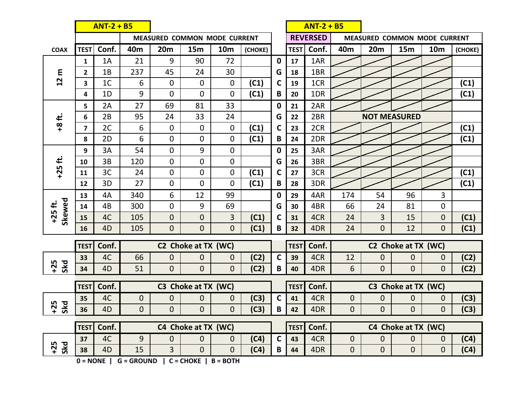|                                                                  | $ANT-2 + B5$            |                |                 |                                     |                |                |         |              | $ANT-2 + B5$    |       |                     |                              |                                       |                |         |  |
|------------------------------------------------------------------|-------------------------|----------------|-----------------|-------------------------------------|----------------|----------------|---------|--------------|-----------------|-------|---------------------|------------------------------|---------------------------------------|----------------|---------|--|
|                                                                  |                         |                |                 | <b>MEASURED COMMON MODE CURRENT</b> |                |                |         |              | <b>REVERSED</b> |       |                     | MEASURED COMMON MODE CURRENT |                                       |                |         |  |
| <b>COAX</b>                                                      | <b>TEST</b>             | Conf.          | 40 <sub>m</sub> | 20m                                 | 15m            | <b>10m</b>     | (CHOKE) |              | <b>TEST</b>     | Conf. | 40 <sub>m</sub>     | 20m                          | <b>15m</b>                            | <b>10m</b>     | (CHOKE) |  |
| ε<br>$2 \overline{2}$                                            | $\mathbf{1}$            | 1A             | 21              | 9                                   | 90             | 72             |         | $\mathbf 0$  | 17              | 1AR   |                     |                              |                                       |                |         |  |
|                                                                  | 2                       | 1B             | 237             | 45                                  | 24             | 30             |         | G            | 18              | 1BR   |                     |                              |                                       |                |         |  |
|                                                                  | 3                       | 1 <sup>C</sup> | 6               | $\mathbf 0$                         | 0              | 0              | (C1)    | C            | 19              | 1CR   |                     |                              |                                       |                | (C1)    |  |
|                                                                  | 4                       | 1D             | 9               | 0                                   | 0              | 0              | (C1)    | B            | 20              | 1DR   |                     |                              |                                       |                | (C1)    |  |
|                                                                  | 5                       | 2A             | 27              | 69                                  | 81             | 33             |         | 0            | 21              | 2AR   |                     |                              |                                       |                |         |  |
| +8 ft.                                                           | 6                       | 2B             | 95              | 24                                  | 33             | 24             |         | G            | 22              | 2BR   |                     | <b>NOT MEASURED</b>          |                                       |                |         |  |
|                                                                  | $\overline{\mathbf{z}}$ | 2C             | 6               | 0                                   | 0              | 0              | (C1)    | C<br>В       | 23              | 2CR   |                     |                              |                                       |                | (C1)    |  |
|                                                                  | 8                       | 2D             | 6               | $\mathbf 0$                         | $\overline{0}$ | 0              | (C1)    |              | 24              | 2DR   |                     |                              |                                       |                | (C1)    |  |
|                                                                  | 9                       | 3A             | 54              | $\mathbf 0$                         | 9              | $\mathbf 0$    |         | 0            | 25              | 3AR   |                     |                              |                                       |                |         |  |
| $+25$ ft.                                                        | 10                      | 3B             | 120             | $\mathbf{0}$                        | $\overline{0}$ | 0              |         | G<br>C<br>В  | 26              | 3BR   |                     |                              |                                       |                |         |  |
|                                                                  | 11                      | 3C             | 24              | $\mathbf 0$                         | 0              | $\mathbf 0$    | (C1)    |              | 27              | 3CR   |                     |                              |                                       |                | (C1)    |  |
|                                                                  | 12                      | 3D             | 27              | 0                                   | 0              | $\overline{0}$ | (C1)    |              | 28              | 3DR   |                     |                              |                                       |                | (C1)    |  |
|                                                                  | 13                      | 4A             | 340             | 6                                   | 12             | 99             |         | 0            | 29              | 4AR   | 174                 | 54                           | 96                                    | 3              |         |  |
| Skewed<br>$+25$ ft.                                              | 14                      | 4B             | 300             | $\mathbf 0$                         | 9              | 69             |         | G            | 30              | 4BR   | 66                  | 24                           | 81                                    | $\mathbf 0$    |         |  |
|                                                                  | 15                      | 4C             | 105             | $\mathbf{0}$                        | $\mathbf 0$    | 3              | (C1)    | C            | 31              | 4CR   | 24                  | 3                            | 15                                    | $\mathbf 0$    | (C1)    |  |
|                                                                  | 16                      | 4D             | 105             | $\mathbf{0}$                        | $\mathbf 0$    | $\mathbf 0$    | (C1)    | B            | 32              | 4DR   | 24                  | 0                            | 12                                    | $\overline{0}$ | (C1)    |  |
|                                                                  | <b>TEST</b>             | Conf.          |                 | C2 Choke at TX (WC)                 |                |                |         |              | <b>TEST</b>     | Conf. |                     |                              |                                       |                |         |  |
|                                                                  | 33                      | 4C             | 66              | $\mathbf{0}$                        | $\overline{0}$ | $\mathbf{0}$   | (C2)    | $\mathsf{C}$ | 39              | 4CR   | 12                  | $\mathbf{0}$                 | C2 Choke at TX (WC)<br>$\overline{0}$ | $\overline{0}$ | (C2)    |  |
| $+25$<br>Skd                                                     | 34                      | 4D             | 51              | $\overline{0}$                      | $\overline{0}$ | $\overline{0}$ | (C2)    | B            | 40              | 4DR   | 6                   | $\overline{0}$               | $\Omega$                              | $\overline{0}$ | (C2)    |  |
|                                                                  |                         |                |                 |                                     |                |                |         |              |                 |       |                     |                              |                                       |                |         |  |
|                                                                  | <b>TEST</b>             | Conf.          |                 | C3 Choke at TX (WC)                 |                |                |         |              | <b>TEST</b>     | Conf. | C3 Choke at TX (WC) |                              |                                       |                |         |  |
|                                                                  | 35                      | 4C             | $\overline{0}$  | $\mathbf 0$                         | $\mathbf 0$    | $\mathbf{0}$   | (C3)    | C            | 41              | 4CR   | $\mathbf{0}$        | $\mathbf 0$                  | $\overline{0}$                        | $\overline{0}$ | (C3)    |  |
| $+25$<br><b>Skd</b>                                              | 36                      | 4D             | $\overline{0}$  | $\overline{0}$                      | $\overline{0}$ | $\overline{0}$ | (C3)    | В            | 42              | 4DR   | $\overline{0}$      | 0                            | $\Omega$                              | $\overline{0}$ | (C3)    |  |
|                                                                  | <b>TEST</b>             | Conf.          |                 | C4 Choke at TX (WC)                 |                |                |         |              | <b>TEST</b>     | Conf. |                     | C4 Choke at TX (WC)          |                                       |                |         |  |
|                                                                  | 37                      | 4C             | 9               | 0                                   | $\mathbf{0}$   | $\mathbf{0}$   | (C4)    | $\mathsf{C}$ | 43              | 4CR   | $\mathbf 0$         | 0                            | $\mathbf{0}$                          | $\mathbf{0}$   | (C4)    |  |
| $+25$<br>Skd                                                     | 38                      | 4D             | 15              | $\overline{3}$                      | $\overline{0}$ | $\overline{0}$ | (C4)    | B            | 44              | 4DR   | $\mathbf 0$         | $\mathbf 0$                  | $\mathbf 0$                           | $\mathbf{0}$   | (C4)    |  |
| $C = CHOKE$  <br>$0 = \text{NONE}$<br>$G = GROUND$<br>$B = BOTH$ |                         |                |                 |                                     |                |                |         |              |                 |       |                     |                              |                                       |                |         |  |